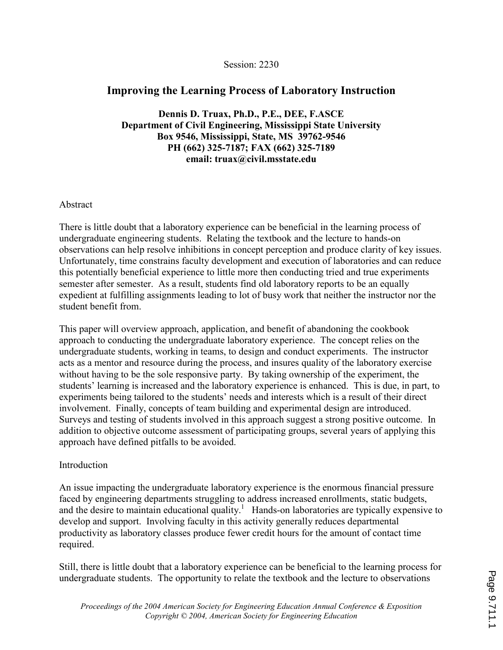#### Session: 2230

# Improving the Learning Process of Laboratory Instruction

Dennis D. Truax, Ph.D., P.E., DEE, F.ASCE Department of Civil Engineering, Mississippi State University Box 9546, Mississippi, State, MS 39762-9546 PH (662) 325-7187; FAX (662) 325-7189 email: truax@civil.msstate.edu

### Abstract

There is little doubt that a laboratory experience can be beneficial in the learning process of undergraduate engineering students. Relating the textbook and the lecture to hands-on observations can help resolve inhibitions in concept perception and produce clarity of key issues. Unfortunately, time constrains faculty development and execution of laboratories and can reduce this potentially beneficial experience to little more then conducting tried and true experiments semester after semester. As a result, students find old laboratory reports to be an equally expedient at fulfilling assignments leading to lot of busy work that neither the instructor nor the student benefit from.

This paper will overview approach, application, and benefit of abandoning the cookbook approach to conducting the undergraduate laboratory experience. The concept relies on the undergraduate students, working in teams, to design and conduct experiments. The instructor acts as a mentor and resource during the process, and insures quality of the laboratory exercise without having to be the sole responsive party. By taking ownership of the experiment, the students' learning is increased and the laboratory experience is enhanced. This is due, in part, to experiments being tailored to the students' needs and interests which is a result of their direct involvement. Finally, concepts of team building and experimental design are introduced. Surveys and testing of students involved in this approach suggest a strong positive outcome. In addition to objective outcome assessment of participating groups, several years of applying this approach have defined pitfalls to be avoided.

#### Introduction

An issue impacting the undergraduate laboratory experience is the enormous financial pressure faced by engineering departments struggling to address increased enrollments, static budgets, and the desire to maintain educational quality.<sup>1</sup> Hands-on laboratories are typically expensive to develop and support. Involving faculty in this activity generally reduces departmental productivity as laboratory classes produce fewer credit hours for the amount of contact time required.

Still, there is little doubt that a laboratory experience can be beneficial to the learning process for undergraduate students. The opportunity to relate the textbook and the lecture to observations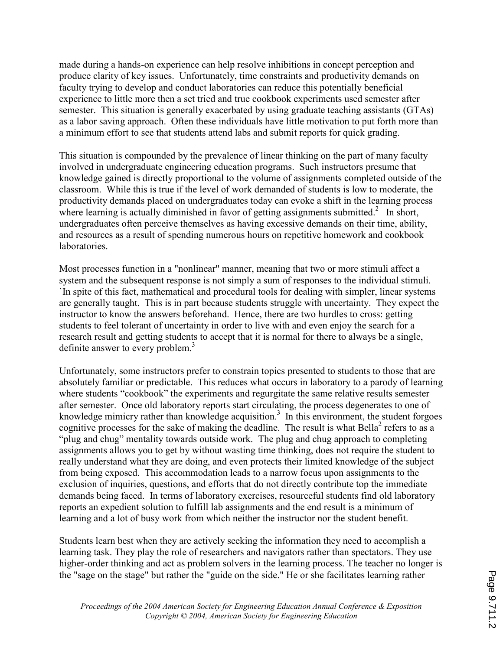made during a hands-on experience can help resolve inhibitions in concept perception and produce clarity of key issues. Unfortunately, time constraints and productivity demands on faculty trying to develop and conduct laboratories can reduce this potentially beneficial experience to little more then a set tried and true cookbook experiments used semester after semester. This situation is generally exacerbated by using graduate teaching assistants (GTAs) as a labor saving approach. Often these individuals have little motivation to put forth more than a minimum effort to see that students attend labs and submit reports for quick grading.

This situation is compounded by the prevalence of linear thinking on the part of many faculty involved in undergraduate engineering education programs. Such instructors presume that knowledge gained is directly proportional to the volume of assignments completed outside of the classroom. While this is true if the level of work demanded of students is low to moderate, the productivity demands placed on undergraduates today can evoke a shift in the learning process where learning is actually diminished in favor of getting assignments submitted. $2$  In short, undergraduates often perceive themselves as having excessive demands on their time, ability, and resources as a result of spending numerous hours on repetitive homework and cookbook laboratories.

Most processes function in a "nonlinear" manner, meaning that two or more stimuli affect a system and the subsequent response is not simply a sum of responses to the individual stimuli. `In spite of this fact, mathematical and procedural tools for dealing with simpler, linear systems are generally taught. This is in part because students struggle with uncertainty. They expect the instructor to know the answers beforehand. Hence, there are two hurdles to cross: getting students to feel tolerant of uncertainty in order to live with and even enjoy the search for a research result and getting students to accept that it is normal for there to always be a single, definite answer to every problem.<sup>3</sup>

Unfortunately, some instructors prefer to constrain topics presented to students to those that are absolutely familiar or predictable. This reduces what occurs in laboratory to a parody of learning where students "cookbook" the experiments and regurgitate the same relative results semester after semester. Once old laboratory reports start circulating, the process degenerates to one of knowledge mimicry rather than knowledge acquisition.<sup>3</sup> In this environment, the student forgoes cognitive processes for the sake of making the deadline. The result is what Bella<sup>2</sup> refers to as a "plug and chug" mentality towards outside work. The plug and chug approach to completing assignments allows you to get by without wasting time thinking, does not require the student to really understand what they are doing, and even protects their limited knowledge of the subject from being exposed. This accommodation leads to a narrow focus upon assignments to the exclusion of inquiries, questions, and efforts that do not directly contribute top the immediate demands being faced. In terms of laboratory exercises, resourceful students find old laboratory reports an expedient solution to fulfill lab assignments and the end result is a minimum of learning and a lot of busy work from which neither the instructor nor the student benefit.

Students learn best when they are actively seeking the information they need to accomplish a learning task. They play the role of researchers and navigators rather than spectators. They use higher-order thinking and act as problem solvers in the learning process. The teacher no longer is the "sage on the stage" but rather the "guide on the side." He or she facilitates learning rather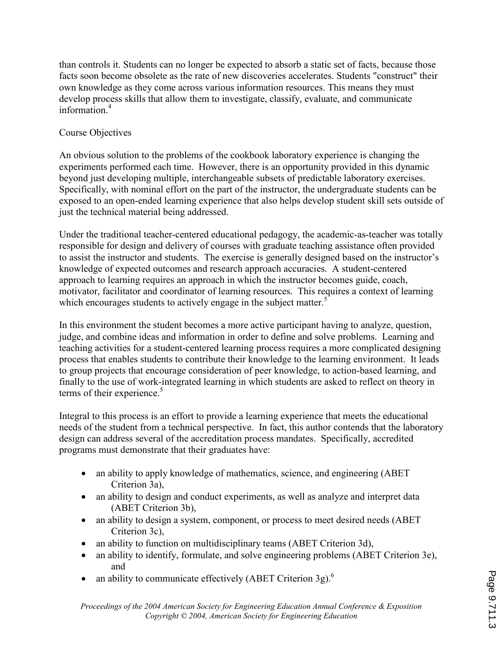than controls it. Students can no longer be expected to absorb a static set of facts, because those facts soon become obsolete as the rate of new discoveries accelerates. Students "construct" their own knowledge as they come across various information resources. This means they must develop process skills that allow them to investigate, classify, evaluate, and communicate information $4$ 

## Course Objectives

An obvious solution to the problems of the cookbook laboratory experience is changing the experiments performed each time. However, there is an opportunity provided in this dynamic beyond just developing multiple, interchangeable subsets of predictable laboratory exercises. Specifically, with nominal effort on the part of the instructor, the undergraduate students can be exposed to an open-ended learning experience that also helps develop student skill sets outside of just the technical material being addressed.

Under the traditional teacher-centered educational pedagogy, the academic-as-teacher was totally responsible for design and delivery of courses with graduate teaching assistance often provided to assist the instructor and students. The exercise is generally designed based on the instructor's knowledge of expected outcomes and research approach accuracies. A student-centered approach to learning requires an approach in which the instructor becomes guide, coach, motivator, facilitator and coordinator of learning resources. This requires a context of learning which encourages students to actively engage in the subject matter.<sup>5</sup>

In this environment the student becomes a more active participant having to analyze, question, judge, and combine ideas and information in order to define and solve problems. Learning and teaching activities for a student-centered learning process requires a more complicated designing process that enables students to contribute their knowledge to the learning environment. It leads to group projects that encourage consideration of peer knowledge, to action-based learning, and finally to the use of work-integrated learning in which students are asked to reflect on theory in terms of their experience.<sup>5</sup>

Integral to this process is an effort to provide a learning experience that meets the educational needs of the student from a technical perspective. In fact, this author contends that the laboratory design can address several of the accreditation process mandates. Specifically, accredited programs must demonstrate that their graduates have:

- an ability to apply knowledge of mathematics, science, and engineering (ABET Criterion 3a),
- an ability to design and conduct experiments, as well as analyze and interpret data (ABET Criterion 3b),
- an ability to design a system, component, or process to meet desired needs (ABET) Criterion 3c),
- an ability to function on multidisciplinary teams (ABET Criterion 3d),
- an ability to identify, formulate, and solve engineering problems (ABET Criterion 3e), and
- an ability to communicate effectively (ABET Criterion 3g).<sup>6</sup>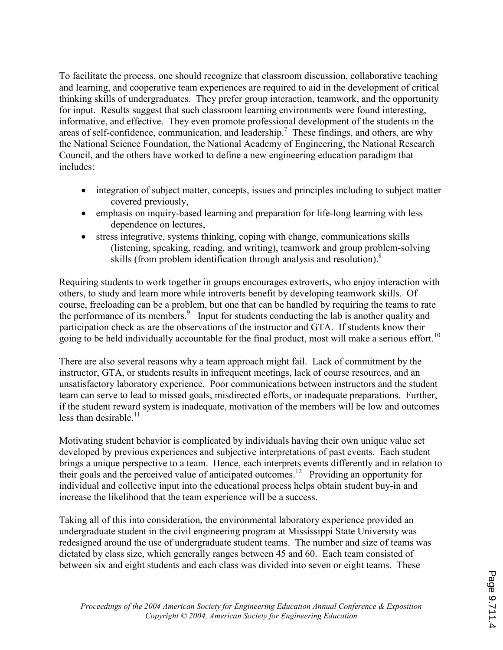To facilitate the process, one should recognize that classroom discussion, collaborative teaching and learning, and cooperative team experiences are required to aid in the development of critical thinking skills of undergraduates. They prefer group interaction, teamwork, and the opportunity for input. Results suggest that such classroom learning environments were found interesting, informative, and effective. They even promote professional development of the students in the areas of self-confidence, communication, and leadership.<sup>7</sup> These findings, and others, are why the National Science Foundation, the National Academy of Engineering, the National Research Council, and the others have worked to define a new engineering education paradigm that includes:

- integration of subject matter, concepts, issues and principles including to subject matter covered previously,
- emphasis on inquiry-based learning and preparation for life-long learning with less dependence on lectures,
- stress integrative, systems thinking, coping with change, communications skills (listening, speaking, reading, and writing), teamwork and group problem-solving skills (from problem identification through analysis and resolution).<sup>8</sup>

Requiring students to work together in groups encourages extroverts, who enjoy interaction with others, to study and learn more while introverts benefit by developing teamwork skills. Of course, freeloading can be a problem, but one that can be handled by requiring the teams to rate the performance of its members.<sup>9</sup> Input for students conducting the lab is another quality and participation check as are the observations of the instructor and GTA. If students know their going to be held individually accountable for the final product, most will make a serious effort.<sup>10</sup>

There are also several reasons why a team approach might fail. Lack of commitment by the instructor, GTA, or students results in infrequent meetings, lack of course resources, and an unsatisfactory laboratory experience. Poor communications between instructors and the student team can serve to lead to missed goals, misdirected efforts, or inadequate preparations. Further, if the student reward system is inadequate, motivation of the members will be low and outcomes less than desirable.<sup>11</sup>

Motivating student behavior is complicated by individuals having their own unique value set developed by previous experiences and subjective interpretations of past events. Each student brings a unique perspective to a team. Hence, each interprets events differently and in relation to their goals and the perceived value of anticipated outcomes.<sup>12</sup> Providing an opportunity for individual and collective input into the educational process helps obtain student buy-in and increase the likelihood that the team experience will be a success.

Taking all of this into consideration, the environmental laboratory experience provided an undergraduate student in the civil engineering program at Mississippi State University was redesigned around the use of undergraduate student teams. The number and size of teams was dictated by class size, which generally ranges between 45 and 60. Each team consisted of between six and eight students and each class was divided into seven or eight teams. These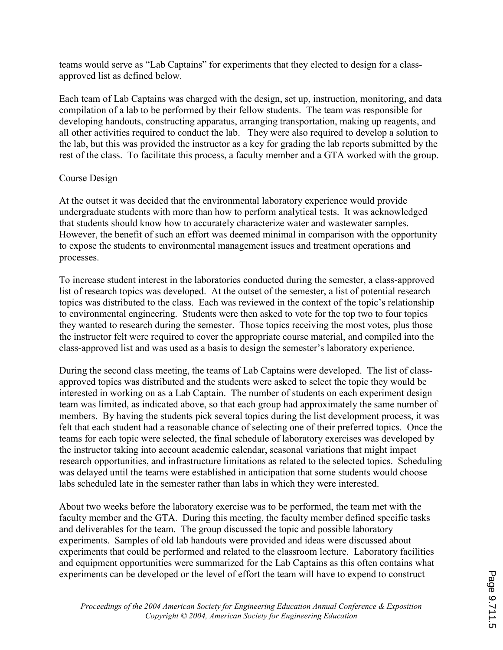teams would serve as "Lab Captains" for experiments that they elected to design for a classapproved list as defined below.

Each team of Lab Captains was charged with the design, set up, instruction, monitoring, and data compilation of a lab to be performed by their fellow students. The team was responsible for developing handouts, constructing apparatus, arranging transportation, making up reagents, and all other activities required to conduct the lab. They were also required to develop a solution to the lab, but this was provided the instructor as a key for grading the lab reports submitted by the rest of the class. To facilitate this process, a faculty member and a GTA worked with the group.

### Course Design

At the outset it was decided that the environmental laboratory experience would provide undergraduate students with more than how to perform analytical tests. It was acknowledged that students should know how to accurately characterize water and wastewater samples. However, the benefit of such an effort was deemed minimal in comparison with the opportunity to expose the students to environmental management issues and treatment operations and processes.

To increase student interest in the laboratories conducted during the semester, a class-approved list of research topics was developed. At the outset of the semester, a list of potential research topics was distributed to the class. Each was reviewed in the context of the topic's relationship to environmental engineering. Students were then asked to vote for the top two to four topics they wanted to research during the semester. Those topics receiving the most votes, plus those the instructor felt were required to cover the appropriate course material, and compiled into the class-approved list and was used as a basis to design the semester's laboratory experience.

During the second class meeting, the teams of Lab Captains were developed. The list of classapproved topics was distributed and the students were asked to select the topic they would be interested in working on as a Lab Captain. The number of students on each experiment design team was limited, as indicated above, so that each group had approximately the same number of members. By having the students pick several topics during the list development process, it was felt that each student had a reasonable chance of selecting one of their preferred topics. Once the teams for each topic were selected, the final schedule of laboratory exercises was developed by the instructor taking into account academic calendar, seasonal variations that might impact research opportunities, and infrastructure limitations as related to the selected topics. Scheduling was delayed until the teams were established in anticipation that some students would choose labs scheduled late in the semester rather than labs in which they were interested.

About two weeks before the laboratory exercise was to be performed, the team met with the faculty member and the GTA. During this meeting, the faculty member defined specific tasks and deliverables for the team. The group discussed the topic and possible laboratory experiments. Samples of old lab handouts were provided and ideas were discussed about experiments that could be performed and related to the classroom lecture. Laboratory facilities and equipment opportunities were summarized for the Lab Captains as this often contains what experiments can be developed or the level of effort the team will have to expend to construct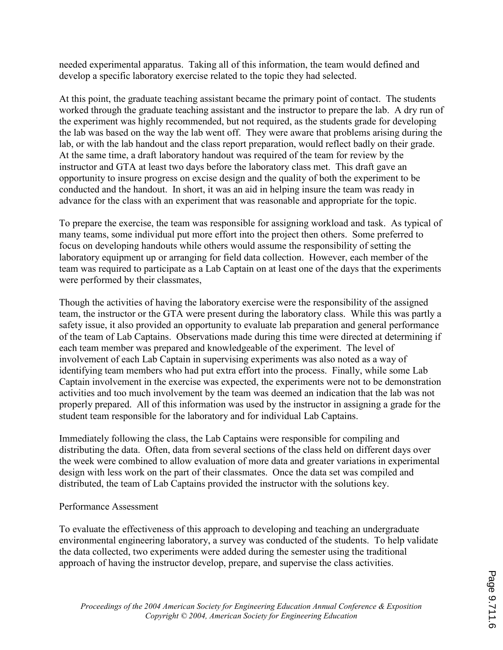needed experimental apparatus. Taking all of this information, the team would defined and develop a specific laboratory exercise related to the topic they had selected.

At this point, the graduate teaching assistant became the primary point of contact. The students worked through the graduate teaching assistant and the instructor to prepare the lab. A dry run of the experiment was highly recommended, but not required, as the students grade for developing the lab was based on the way the lab went off. They were aware that problems arising during the lab, or with the lab handout and the class report preparation, would reflect badly on their grade. At the same time, a draft laboratory handout was required of the team for review by the instructor and GTA at least two days before the laboratory class met. This draft gave an opportunity to insure progress on excise design and the quality of both the experiment to be conducted and the handout. In short, it was an aid in helping insure the team was ready in advance for the class with an experiment that was reasonable and appropriate for the topic.

To prepare the exercise, the team was responsible for assigning workload and task. As typical of many teams, some individual put more effort into the project then others. Some preferred to focus on developing handouts while others would assume the responsibility of setting the laboratory equipment up or arranging for field data collection. However, each member of the team was required to participate as a Lab Captain on at least one of the days that the experiments were performed by their classmates,

Though the activities of having the laboratory exercise were the responsibility of the assigned team, the instructor or the GTA were present during the laboratory class. While this was partly a safety issue, it also provided an opportunity to evaluate lab preparation and general performance of the team of Lab Captains. Observations made during this time were directed at determining if each team member was prepared and knowledgeable of the experiment. The level of involvement of each Lab Captain in supervising experiments was also noted as a way of identifying team members who had put extra effort into the process. Finally, while some Lab Captain involvement in the exercise was expected, the experiments were not to be demonstration activities and too much involvement by the team was deemed an indication that the lab was not properly prepared. All of this information was used by the instructor in assigning a grade for the student team responsible for the laboratory and for individual Lab Captains.

Immediately following the class, the Lab Captains were responsible for compiling and distributing the data. Often, data from several sections of the class held on different days over the week were combined to allow evaluation of more data and greater variations in experimental design with less work on the part of their classmates. Once the data set was compiled and distributed, the team of Lab Captains provided the instructor with the solutions key.

#### Performance Assessment

To evaluate the effectiveness of this approach to developing and teaching an undergraduate environmental engineering laboratory, a survey was conducted of the students. To help validate the data collected, two experiments were added during the semester using the traditional approach of having the instructor develop, prepare, and supervise the class activities.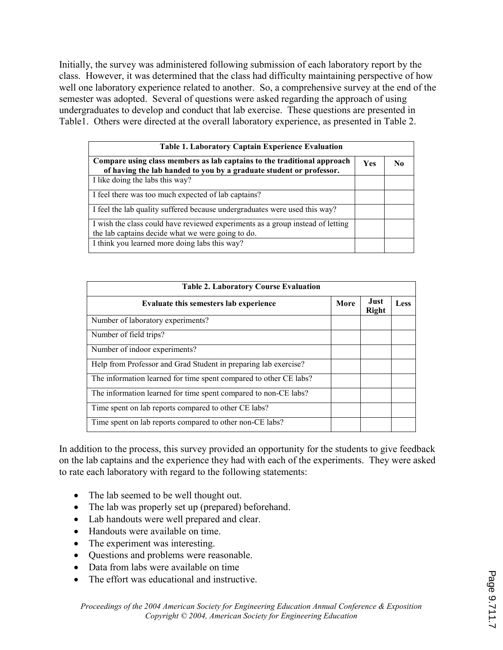Initially, the survey was administered following submission of each laboratory report by the class. However, it was determined that the class had difficulty maintaining perspective of how well one laboratory experience related to another. So, a comprehensive survey at the end of the semester was adopted. Several of questions were asked regarding the approach of using undergraduates to develop and conduct that lab exercise. These questions are presented in Table1. Others were directed at the overall laboratory experience, as presented in Table 2.

| <b>Table 1. Laboratory Captain Experience Evaluation</b>                                                                                       |            |    |  |
|------------------------------------------------------------------------------------------------------------------------------------------------|------------|----|--|
| Compare using class members as lab captains to the traditional approach<br>of having the lab handed to you by a graduate student or professor. | <b>Yes</b> | No |  |
| I like doing the labs this way?                                                                                                                |            |    |  |
| I feel there was too much expected of lab captains?                                                                                            |            |    |  |
| I feel the lab quality suffered because undergraduates were used this way?                                                                     |            |    |  |
| I wish the class could have reviewed experiments as a group instead of letting<br>the lab captains decide what we were going to do.            |            |    |  |
| I think you learned more doing labs this way?                                                                                                  |            |    |  |

| <b>Table 2. Laboratory Course Evaluation</b>                      |      |                      |      |
|-------------------------------------------------------------------|------|----------------------|------|
| Evaluate this semesters lab experience                            | More | Just<br><b>Right</b> | Less |
| Number of laboratory experiments?                                 |      |                      |      |
| Number of field trips?                                            |      |                      |      |
| Number of indoor experiments?                                     |      |                      |      |
| Help from Professor and Grad Student in preparing lab exercise?   |      |                      |      |
| The information learned for time spent compared to other CE labs? |      |                      |      |
| The information learned for time spent compared to non-CE labs?   |      |                      |      |
| Time spent on lab reports compared to other CE labs?              |      |                      |      |
| Time spent on lab reports compared to other non-CE labs?          |      |                      |      |

In addition to the process, this survey provided an opportunity for the students to give feedback on the lab captains and the experience they had with each of the experiments. They were asked to rate each laboratory with regard to the following statements:

- The lab seemed to be well thought out.
- The lab was properly set up (prepared) beforehand.
- Lab handouts were well prepared and clear.
- Handouts were available on time.
- The experiment was interesting.
- Questions and problems were reasonable.
- Data from labs were available on time
- The effort was educational and instructive.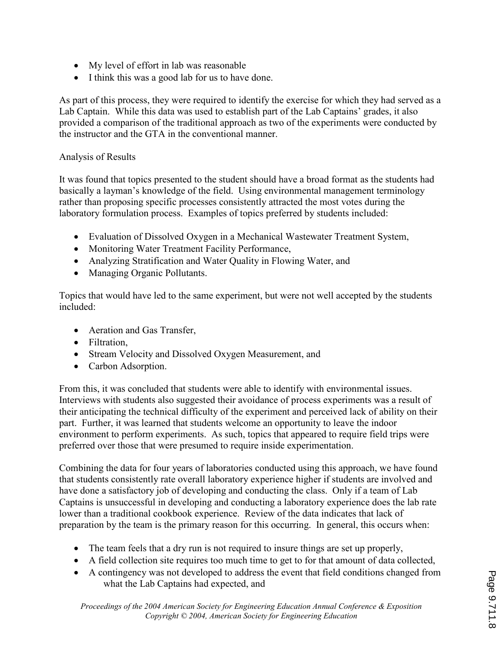- My level of effort in lab was reasonable
- I think this was a good lab for us to have done.

As part of this process, they were required to identify the exercise for which they had served as a Lab Captain. While this data was used to establish part of the Lab Captains' grades, it also provided a comparison of the traditional approach as two of the experiments were conducted by the instructor and the GTA in the conventional manner.

## Analysis of Results

It was found that topics presented to the student should have a broad format as the students had basically a layman's knowledge of the field. Using environmental management terminology rather than proposing specific processes consistently attracted the most votes during the laboratory formulation process. Examples of topics preferred by students included:

- Evaluation of Dissolved Oxygen in a Mechanical Wastewater Treatment System,
- Monitoring Water Treatment Facility Performance,
- Analyzing Stratification and Water Quality in Flowing Water, and
- Managing Organic Pollutants.

Topics that would have led to the same experiment, but were not well accepted by the students included:

- Aeration and Gas Transfer,
- Filtration,
- Stream Velocity and Dissolved Oxygen Measurement, and
- Carbon Adsorption.

From this, it was concluded that students were able to identify with environmental issues. Interviews with students also suggested their avoidance of process experiments was a result of their anticipating the technical difficulty of the experiment and perceived lack of ability on their part. Further, it was learned that students welcome an opportunity to leave the indoor environment to perform experiments. As such, topics that appeared to require field trips were preferred over those that were presumed to require inside experimentation.

Combining the data for four years of laboratories conducted using this approach, we have found that students consistently rate overall laboratory experience higher if students are involved and have done a satisfactory job of developing and conducting the class. Only if a team of Lab Captains is unsuccessful in developing and conducting a laboratory experience does the lab rate lower than a traditional cookbook experience. Review of the data indicates that lack of preparation by the team is the primary reason for this occurring. In general, this occurs when:

- The team feels that a dry run is not required to insure things are set up properly,
- A field collection site requires too much time to get to for that amount of data collected,
- A contingency was not developed to address the event that field conditions changed from what the Lab Captains had expected, and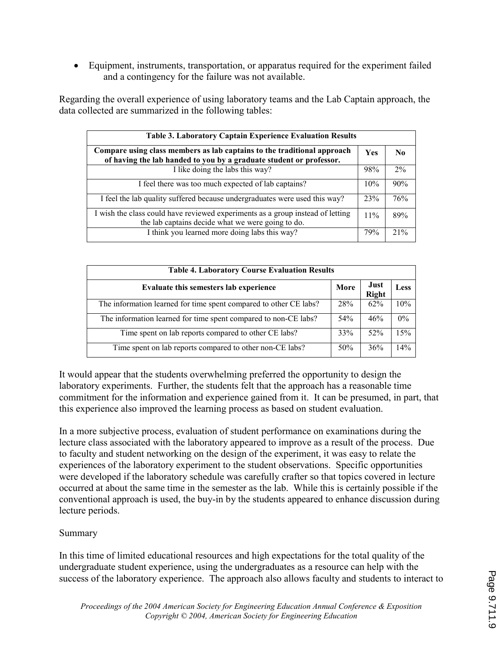• Equipment, instruments, transportation, or apparatus required for the experiment failed and a contingency for the failure was not available.

Regarding the overall experience of using laboratory teams and the Lab Captain approach, the data collected are summarized in the following tables:

| <b>Table 3. Laboratory Captain Experience Evaluation Results</b>                                                                               |     |       |  |
|------------------------------------------------------------------------------------------------------------------------------------------------|-----|-------|--|
| Compare using class members as lab captains to the traditional approach<br>of having the lab handed to you by a graduate student or professor. |     | No.   |  |
| I like doing the labs this way?                                                                                                                | 98% | $2\%$ |  |
| I feel there was too much expected of lab captains?                                                                                            | 10% | 90%   |  |
| I feel the lab quality suffered because undergraduates were used this way?                                                                     | 23% | 76%   |  |
| I wish the class could have reviewed experiments as a group instead of letting<br>the lab captains decide what we were going to do.            | 11% | 89%   |  |
| I think you learned more doing labs this way?                                                                                                  | 79% | 21%   |  |

| <b>Table 4. Laboratory Course Evaluation Results</b>              |      |                      |       |
|-------------------------------------------------------------------|------|----------------------|-------|
| Evaluate this semesters lab experience                            | More | Just<br><b>Right</b> | Less  |
| The information learned for time spent compared to other CE labs? | 28%  | 62%                  | 10%   |
| The information learned for time spent compared to non-CE labs?   | 54%  | 46%                  | $0\%$ |
| Time spent on lab reports compared to other CE labs?              | 33%  | 52%                  | 15%   |
| Time spent on lab reports compared to other non-CE labs?          | 50%  | 36%                  | 14%   |

It would appear that the students overwhelming preferred the opportunity to design the laboratory experiments. Further, the students felt that the approach has a reasonable time commitment for the information and experience gained from it. It can be presumed, in part, that this experience also improved the learning process as based on student evaluation.

In a more subjective process, evaluation of student performance on examinations during the lecture class associated with the laboratory appeared to improve as a result of the process. Due to faculty and student networking on the design of the experiment, it was easy to relate the experiences of the laboratory experiment to the student observations. Specific opportunities were developed if the laboratory schedule was carefully crafter so that topics covered in lecture occurred at about the same time in the semester as the lab. While this is certainly possible if the conventional approach is used, the buy-in by the students appeared to enhance discussion during lecture periods.

# Summary

In this time of limited educational resources and high expectations for the total quality of the undergraduate student experience, using the undergraduates as a resource can help with the success of the laboratory experience. The approach also allows faculty and students to interact to